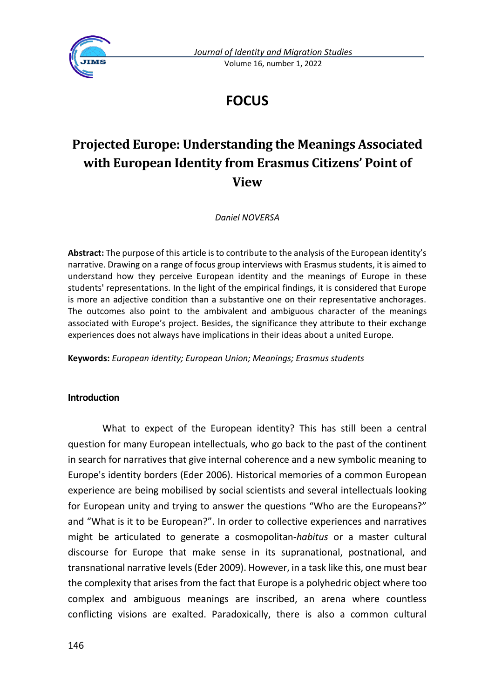

*Journal of Identity and Migration Studies* Volume 16, number 1, 2022

# **FOCUS**

# **Projected Europe: Understanding the Meanings Associated with European Identity from Erasmus Citizens' Point of View**

*Daniel NOVERSA*

**Abstract:** The purpose of this article is to contribute to the analysis of the European identity's narrative. Drawing on a range of focus group interviews with Erasmus students, it is aimed to understand how they perceive European identity and the meanings of Europe in these students' representations. In the light of the empirical findings, it is considered that Europe is more an adjective condition than a substantive one on their representative anchorages. The outcomes also point to the ambivalent and ambiguous character of the meanings associated with Europe's project. Besides, the significance they attribute to their exchange experiences does not always have implications in their ideas about a united Europe.

**Keywords:** *European identity; European Union; Meanings; Erasmus students*

### **Introduction**

What to expect of the European identity? This has still been a central question for many European intellectuals, who go back to the past of the continent in search for narratives that give internal coherence and a new symbolic meaning to Europe's identity borders (Eder 2006). Historical memories of a common European experience are being mobilised by social scientists and several intellectuals looking for European unity and trying to answer the questions "Who are the Europeans?" and "What is it to be European?". In order to collective experiences and narratives might be articulated to generate a cosmopolitan-*habitus* or a master cultural discourse for Europe that make sense in its supranational, postnational, and transnational narrative levels (Eder 2009). However, in a task like this, one must bear the complexity that arises from the fact that Europe is a polyhedric object where too complex and ambiguous meanings are inscribed, an arena where countless conflicting visions are exalted. Paradoxically, there is also a common cultural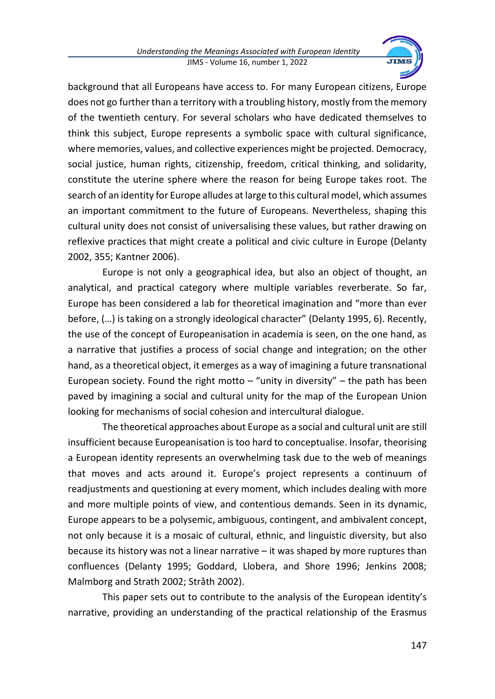

background that all Europeans have access to. For many European citizens, Europe does not go further than a territory with a troubling history, mostly from the memory of the twentieth century. For several scholars who have dedicated themselves to think this subject, Europe represents a symbolic space with cultural significance, where memories, values, and collective experiences might be projected. Democracy, social justice, human rights, citizenship, freedom, critical thinking, and solidarity, constitute the uterine sphere where the reason for being Europe takes root. The search of an identity for Europe alludes at large to this cultural model, which assumes an important commitment to the future of Europeans. Nevertheless, shaping this cultural unity does not consist of universalising these values, but rather drawing on reflexive practices that might create a political and civic culture in Europe (Delanty 2002, 355; Kantner 2006).

Europe is not only a geographical idea, but also an object of thought, an analytical, and practical category where multiple variables reverberate. So far, Europe has been considered a lab for theoretical imagination and "more than ever before, (…) is taking on a strongly ideological character" (Delanty 1995, 6). Recently, the use of the concept of Europeanisation in academia is seen, on the one hand, as a narrative that justifies a process of social change and integration; on the other hand, as a theoretical object, it emerges as a way of imagining a future transnational European society. Found the right motto  $-$  "unity in diversity"  $-$  the path has been paved by imagining a social and cultural unity for the map of the European Union looking for mechanisms of social cohesion and intercultural dialogue.

The theoretical approaches about Europe as a social and cultural unit are still insufficient because Europeanisation is too hard to conceptualise. Insofar, theorising a European identity represents an overwhelming task due to the web of meanings that moves and acts around it. Europe's project represents a continuum of readjustments and questioning at every moment, which includes dealing with more and more multiple points of view, and contentious demands. Seen in its dynamic, Europe appears to be a polysemic, ambiguous, contingent, and ambivalent concept, not only because it is a mosaic of cultural, ethnic, and linguistic diversity, but also because its history was not a linear narrative – it was shaped by more ruptures than confluences (Delanty 1995; Goddard, Llobera, and Shore 1996; Jenkins 2008; Malmborg and Strath 2002; Stråth 2002).

This paper sets out to contribute to the analysis of the European identity's narrative, providing an understanding of the practical relationship of the Erasmus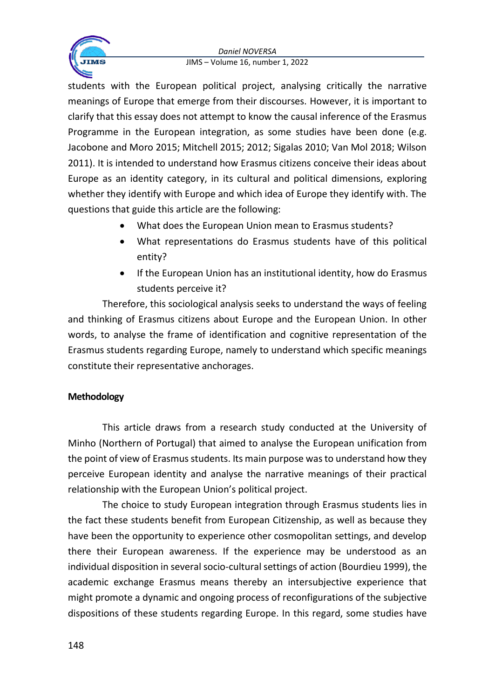

students with the European political project, analysing critically the narrative meanings of Europe that emerge from their discourses. However, it is important to clarify that this essay does not attempt to know the causal inference of the Erasmus Programme in the European integration, as some studies have been done (e.g. Jacobone and Moro 2015; Mitchell 2015; 2012; Sigalas 2010; Van Mol 2018; Wilson 2011). It is intended to understand how Erasmus citizens conceive their ideas about Europe as an identity category, in its cultural and political dimensions, exploring whether they identify with Europe and which idea of Europe they identify with. The questions that guide this article are the following:

- What does the European Union mean to Erasmus students?
- What representations do Erasmus students have of this political entity?
- If the European Union has an institutional identity, how do Erasmus students perceive it?

Therefore, this sociological analysis seeks to understand the ways of feeling and thinking of Erasmus citizens about Europe and the European Union. In other words, to analyse the frame of identification and cognitive representation of the Erasmus students regarding Europe, namely to understand which specific meanings constitute their representative anchorages.

## **Methodology**

This article draws from a research study conducted at the University of Minho (Northern of Portugal) that aimed to analyse the European unification from the point of view of Erasmus students. Its main purpose was to understand how they perceive European identity and analyse the narrative meanings of their practical relationship with the European Union's political project.

The choice to study European integration through Erasmus students lies in the fact these students benefit from European Citizenship, as well as because they have been the opportunity to experience other cosmopolitan settings, and develop there their European awareness. If the experience may be understood as an individual disposition in several socio-cultural settings of action (Bourdieu 1999), the academic exchange Erasmus means thereby an intersubjective experience that might promote a dynamic and ongoing process of reconfigurations of the subjective dispositions of these students regarding Europe. In this regard, some studies have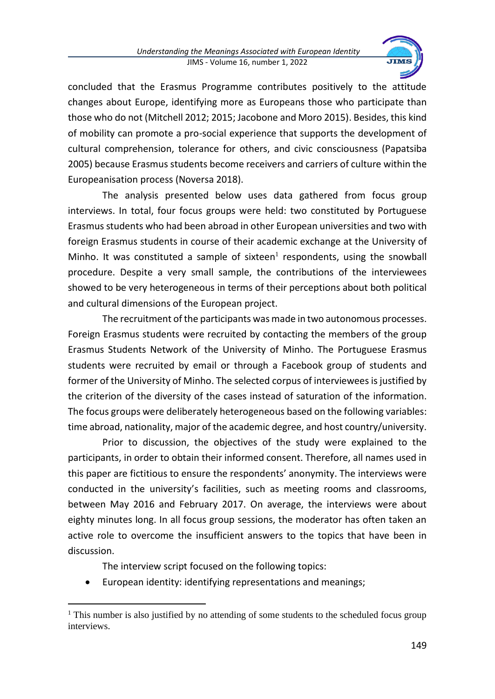

concluded that the Erasmus Programme contributes positively to the attitude changes about Europe, identifying more as Europeans those who participate than those who do not (Mitchell 2012; 2015; Jacobone and Moro 2015). Besides, this kind of mobility can promote a pro-social experience that supports the development of cultural comprehension, tolerance for others, and civic consciousness (Papatsiba 2005) because Erasmus students become receivers and carriers of culture within the Europeanisation process (Noversa 2018).

The analysis presented below uses data gathered from focus group interviews. In total, four focus groups were held: two constituted by Portuguese Erasmus students who had been abroad in other European universities and two with foreign Erasmus students in course of their academic exchange at the University of Minho. It was constituted a sample of sixteen $<sup>1</sup>$  respondents, using the snowball</sup> procedure. Despite a very small sample, the contributions of the interviewees showed to be very heterogeneous in terms of their perceptions about both political and cultural dimensions of the European project.

The recruitment of the participants was made in two autonomous processes. Foreign Erasmus students were recruited by contacting the members of the group Erasmus Students Network of the University of Minho. The Portuguese Erasmus students were recruited by email or through a Facebook group of students and former of the University of Minho. The selected corpus of interviewees is justified by the criterion of the diversity of the cases instead of saturation of the information. The focus groups were deliberately heterogeneous based on the following variables: time abroad, nationality, major of the academic degree, and host country/university.

Prior to discussion, the objectives of the study were explained to the participants, in order to obtain their informed consent. Therefore, all names used in this paper are fictitious to ensure the respondents' anonymity. The interviews were conducted in the university's facilities, such as meeting rooms and classrooms, between May 2016 and February 2017. On average, the interviews were about eighty minutes long. In all focus group sessions, the moderator has often taken an active role to overcome the insufficient answers to the topics that have been in discussion.

The interview script focused on the following topics:

• European identity: identifying representations and meanings;

 $1$ <sup>1</sup> This number is also justified by no attending of some students to the scheduled focus group interviews.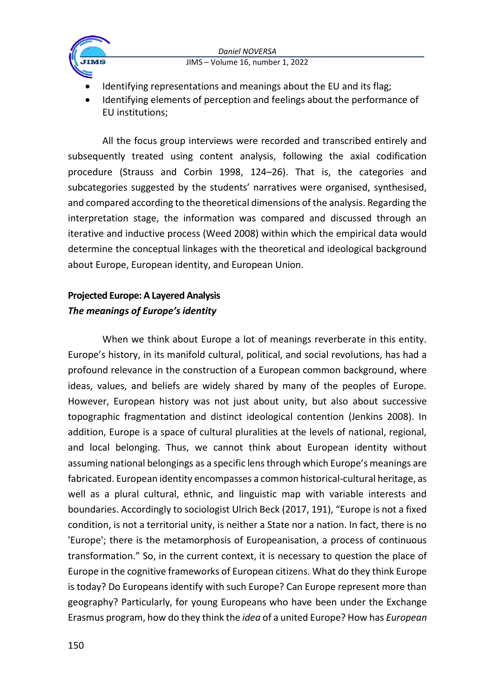



- Identifying representations and meanings about the EU and its flag;
- Identifying elements of perception and feelings about the performance of EU institutions;

All the focus group interviews were recorded and transcribed entirely and subsequently treated using content analysis, following the axial codification procedure (Strauss and Corbin 1998, 124–26). That is, the categories and subcategories suggested by the students' narratives were organised, synthesised, and compared according to the theoretical dimensions of the analysis. Regarding the interpretation stage, the information was compared and discussed through an iterative and inductive process (Weed 2008) within which the empirical data would determine the conceptual linkages with the theoretical and ideological background about Europe, European identity, and European Union.

# **Projected Europe: A Layered Analysis** *The meanings of Europe's identity*

When we think about Europe a lot of meanings reverberate in this entity. Europe's history, in its manifold cultural, political, and social revolutions, has had a profound relevance in the construction of a European common background, where ideas, values, and beliefs are widely shared by many of the peoples of Europe. However, European history was not just about unity, but also about successive topographic fragmentation and distinct ideological contention (Jenkins 2008). In addition, Europe is a space of cultural pluralities at the levels of national, regional, and local belonging. Thus, we cannot think about European identity without assuming national belongings as a specific lens through which Europe's meanings are fabricated. European identity encompasses a common historical-cultural heritage, as well as a plural cultural, ethnic, and linguistic map with variable interests and boundaries. Accordingly to sociologist Ulrich Beck (2017, 191), "Europe is not a fixed condition, is not a territorial unity, is neither a State nor a nation. In fact, there is no 'Europe'; there is the metamorphosis of Europeanisation, a process of continuous transformation." So, in the current context, it is necessary to question the place of Europe in the cognitive frameworks of European citizens. What do they think Europe is today? Do Europeans identify with such Europe? Can Europe represent more than geography? Particularly, for young Europeans who have been under the Exchange Erasmus program, how do they think the *idea* of a united Europe? How has *European*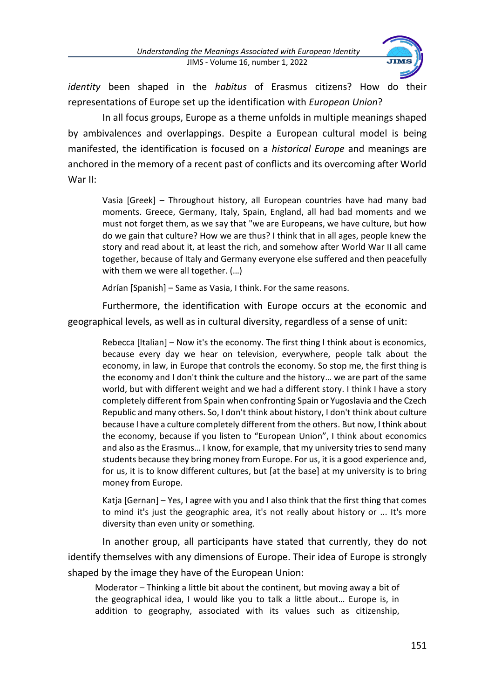

*identity* been shaped in the *habitus* of Erasmus citizens? How do their representations of Europe set up the identification with *European Union*?

In all focus groups, Europe as a theme unfolds in multiple meanings shaped by ambivalences and overlappings. Despite a European cultural model is being manifested, the identification is focused on a *historical Europe* and meanings are anchored in the memory of a recent past of conflicts and its overcoming after World War II:

Vasia [Greek] – Throughout history, all European countries have had many bad moments. Greece, Germany, Italy, Spain, England, all had bad moments and we must not forget them, as we say that "we are Europeans, we have culture, but how do we gain that culture? How we are thus? I think that in all ages, people knew the story and read about it, at least the rich, and somehow after World War II all came together, because of Italy and Germany everyone else suffered and then peacefully with them we were all together. (…)

Adrían [Spanish] – Same as Vasia, I think. For the same reasons.

Furthermore, the identification with Europe occurs at the economic and geographical levels, as well as in cultural diversity, regardless of a sense of unit:

Rebecca [Italian] – Now it's the economy. The first thing I think about is economics, because every day we hear on television, everywhere, people talk about the economy, in law, in Europe that controls the economy. So stop me, the first thing is the economy and I don't think the culture and the history… we are part of the same world, but with different weight and we had a different story. I think I have a story completely different from Spain when confronting Spain or Yugoslavia and the Czech Republic and many others. So, I don't think about history, I don't think about culture because I have a culture completely different from the others. But now, I think about the economy, because if you listen to "European Union", I think about economics and also as the Erasmus… I know, for example, that my university tries to send many students because they bring money from Europe. For us, it is a good experience and, for us, it is to know different cultures, but [at the base] at my university is to bring money from Europe.

Katja [Gernan] – Yes, I agree with you and I also think that the first thing that comes to mind it's just the geographic area, it's not really about history or ... It's more diversity than even unity or something.

In another group, all participants have stated that currently, they do not identify themselves with any dimensions of Europe. Their idea of Europe is strongly shaped by the image they have of the European Union:

Moderator – Thinking a little bit about the continent, but moving away a bit of the geographical idea, I would like you to talk a little about… Europe is, in addition to geography, associated with its values such as citizenship,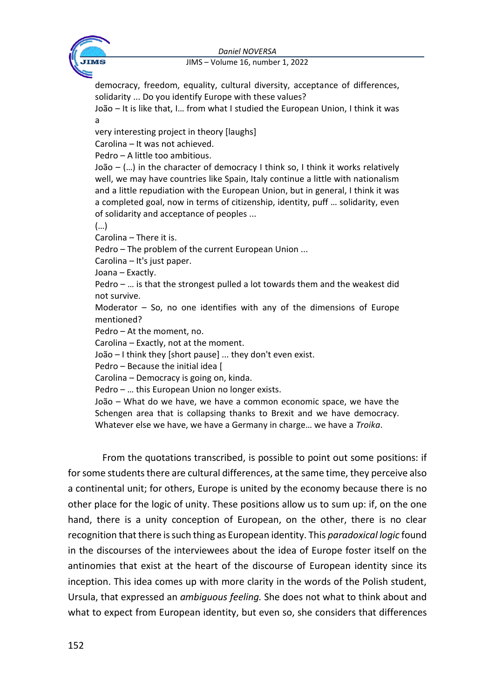

democracy, freedom, equality, cultural diversity, acceptance of differences, solidarity ... Do you identify Europe with these values?

João – It is like that, I… from what I studied the European Union, I think it was a

very interesting project in theory [laughs]

Carolina – It was not achieved.

Pedro – A little too ambitious.

João – (…) in the character of democracy I think so, I think it works relatively well, we may have countries like Spain, Italy continue a little with nationalism and a little repudiation with the European Union, but in general, I think it was a completed goal, now in terms of citizenship, identity, puff … solidarity, even of solidarity and acceptance of peoples ...

(…)

Carolina – There it is.

Pedro – The problem of the current European Union ...

Carolina – It's just paper.

Joana – Exactly.

Pedro – … is that the strongest pulled a lot towards them and the weakest did not survive.

Moderator  $-$  So, no one identifies with any of the dimensions of Europe mentioned?

Pedro – At the moment, no.

Carolina – Exactly, not at the moment.

João – I think they [short pause] ... they don't even exist.

Pedro – Because the initial idea [

Carolina – Democracy is going on, kinda.

Pedro – … this European Union no longer exists.

João – What do we have, we have a common economic space, we have the Schengen area that is collapsing thanks to Brexit and we have democracy. Whatever else we have, we have a Germany in charge… we have a *Troika*.

From the quotations transcribed, is possible to point out some positions: if for some students there are cultural differences, at the same time, they perceive also a continental unit; for others, Europe is united by the economy because there is no other place for the logic of unity. These positions allow us to sum up: if, on the one hand, there is a unity conception of European, on the other, there is no clear recognition that there is such thing as European identity. This *paradoxical logic* found in the discourses of the interviewees about the idea of Europe foster itself on the antinomies that exist at the heart of the discourse of European identity since its inception. This idea comes up with more clarity in the words of the Polish student, Ursula, that expressed an *ambiguous feeling.* She does not what to think about and what to expect from European identity, but even so, she considers that differences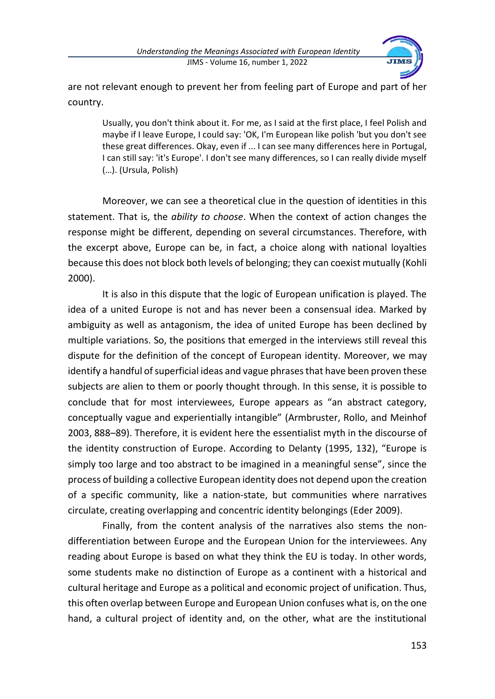

are not relevant enough to prevent her from feeling part of Europe and part of her country.

Usually, you don't think about it. For me, as I said at the first place, I feel Polish and maybe if I leave Europe, I could say: 'OK, I'm European like polish 'but you don't see these great differences. Okay, even if ... I can see many differences here in Portugal, I can still say: 'it's Europe'. I don't see many differences, so I can really divide myself (…). (Ursula, Polish)

Moreover, we can see a theoretical clue in the question of identities in this statement. That is, the *ability to choose*. When the context of action changes the response might be different, depending on several circumstances. Therefore, with the excerpt above, Europe can be, in fact, a choice along with national loyalties because this does not block both levels of belonging; they can coexist mutually (Kohli 2000).

It is also in this dispute that the logic of European unification is played. The idea of a united Europe is not and has never been a consensual idea. Marked by ambiguity as well as antagonism, the idea of united Europe has been declined by multiple variations. So, the positions that emerged in the interviews still reveal this dispute for the definition of the concept of European identity. Moreover, we may identify a handful of superficial ideas and vague phrases that have been proven these subjects are alien to them or poorly thought through. In this sense, it is possible to conclude that for most interviewees, Europe appears as "an abstract category, conceptually vague and experientially intangible" (Armbruster, Rollo, and Meinhof 2003, 888–89). Therefore, it is evident here the essentialist myth in the discourse of the identity construction of Europe. According to Delanty (1995, 132), "Europe is simply too large and too abstract to be imagined in a meaningful sense", since the process of building a collective European identity does not depend upon the creation of a specific community, like a nation-state, but communities where narratives circulate, creating overlapping and concentric identity belongings (Eder 2009).

Finally, from the content analysis of the narratives also stems the nondifferentiation between Europe and the European Union for the interviewees. Any reading about Europe is based on what they think the EU is today. In other words, some students make no distinction of Europe as a continent with a historical and cultural heritage and Europe as a political and economic project of unification. Thus, this often overlap between Europe and European Union confuses what is, on the one hand, a cultural project of identity and, on the other, what are the institutional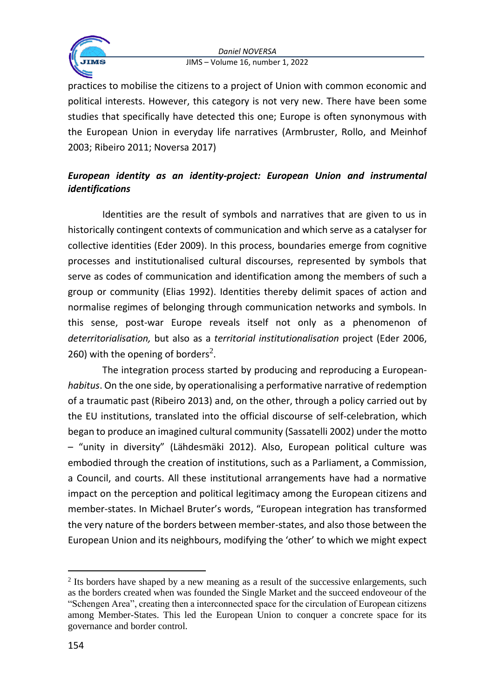



practices to mobilise the citizens to a project of Union with common economic and political interests. However, this category is not very new. There have been some studies that specifically have detected this one; Europe is often synonymous with the European Union in everyday life narratives (Armbruster, Rollo, and Meinhof 2003; Ribeiro 2011; Noversa 2017)

# *European identity as an identity-project: European Union and instrumental identifications*

Identities are the result of symbols and narratives that are given to us in historically contingent contexts of communication and which serve as a catalyser for collective identities (Eder 2009). In this process, boundaries emerge from cognitive processes and institutionalised cultural discourses, represented by symbols that serve as codes of communication and identification among the members of such a group or community (Elias 1992). Identities thereby delimit spaces of action and normalise regimes of belonging through communication networks and symbols. In this sense, post-war Europe reveals itself not only as a phenomenon of *deterritorialisation,* but also as a *territorial institutionalisation* project (Eder 2006, 260) with the opening of borders<sup>2</sup>.

The integration process started by producing and reproducing a European*habitus*. On the one side, by operationalising a performative narrative of redemption of a traumatic past (Ribeiro 2013) and, on the other, through a policy carried out by the EU institutions, translated into the official discourse of self-celebration, which began to produce an imagined cultural community (Sassatelli 2002) under the motto – "unity in diversity" (Lähdesmäki 2012). Also, European political culture was embodied through the creation of institutions, such as a Parliament, a Commission, a Council, and courts. All these institutional arrangements have had a normative impact on the perception and political legitimacy among the European citizens and member-states. In Michael Bruter's words, "European integration has transformed the very nature of the borders between member-states, and also those between the European Union and its neighbours, modifying the 'other' to which we might expect

<sup>&</sup>lt;sup>2</sup> Its borders have shaped by a new meaning as a result of the successive enlargements, such as the borders created when was founded the Single Market and the succeed endoveour of the "Schengen Area", creating then a interconnected space for the circulation of European citizens among Member-States. This led the European Union to conquer a concrete space for its governance and border control.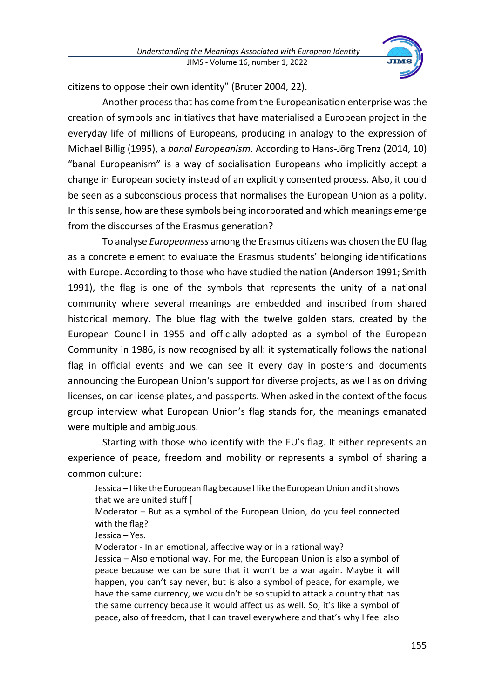

citizens to oppose their own identity" (Bruter 2004, 22).

Another process that has come from the Europeanisation enterprise was the creation of symbols and initiatives that have materialised a European project in the everyday life of millions of Europeans, producing in analogy to the expression of Michael Billig (1995), a *banal Europeanism*. According to Hans-Jörg Trenz (2014, 10) "banal Europeanism" is a way of socialisation Europeans who implicitly accept a change in European society instead of an explicitly consented process. Also, it could be seen as a subconscious process that normalises the European Union as a polity. In this sense, how are these symbols being incorporated and which meanings emerge from the discourses of the Erasmus generation?

To analyse *Europeanness* among the Erasmus citizens was chosen the EU flag as a concrete element to evaluate the Erasmus students' belonging identifications with Europe. According to those who have studied the nation (Anderson 1991; Smith 1991), the flag is one of the symbols that represents the unity of a national community where several meanings are embedded and inscribed from shared historical memory. The blue flag with the twelve golden stars, created by the European Council in 1955 and officially adopted as a symbol of the European Community in 1986, is now recognised by all: it systematically follows the national flag in official events and we can see it every day in posters and documents announcing the European Union's support for diverse projects, as well as on driving licenses, on car license plates, and passports. When asked in the context of the focus group interview what European Union's flag stands for, the meanings emanated were multiple and ambiguous.

Starting with those who identify with the EU's flag. It either represents an experience of peace, freedom and mobility or represents a symbol of sharing a common culture:

Jessica – I like the European flag because I like the European Union and it shows that we are united stuff [

Moderator – But as a symbol of the European Union, do you feel connected with the flag?

Jessica – Yes.

Moderator - In an emotional, affective way or in a rational way?

Jessica – Also emotional way. For me, the European Union is also a symbol of peace because we can be sure that it won't be a war again. Maybe it will happen, you can't say never, but is also a symbol of peace, for example, we have the same currency, we wouldn't be so stupid to attack a country that has the same currency because it would affect us as well. So, it's like a symbol of peace, also of freedom, that I can travel everywhere and that's why I feel also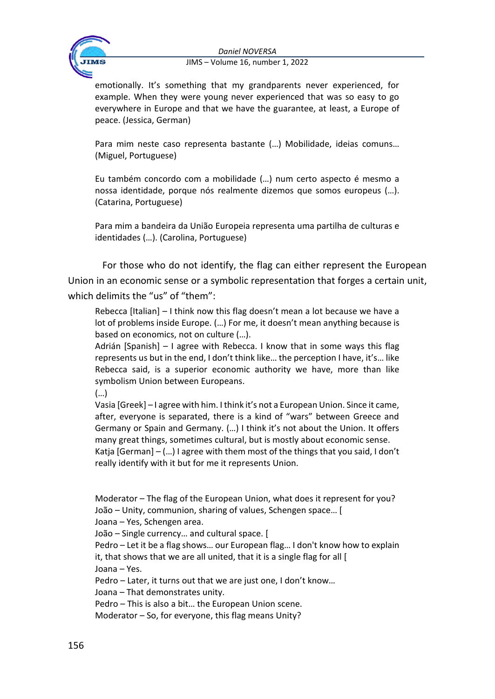

emotionally. It's something that my grandparents never experienced, for example. When they were young never experienced that was so easy to go everywhere in Europe and that we have the guarantee, at least, a Europe of peace. (Jessica, German)

Para mim neste caso representa bastante (…) Mobilidade, ideias comuns… (Miguel, Portuguese)

Eu também concordo com a mobilidade (…) num certo aspecto é mesmo a nossa identidade, porque nós realmente dizemos que somos europeus (…). (Catarina, Portuguese)

Para mim a bandeira da União Europeia representa uma partilha de culturas e identidades (…). (Carolina, Portuguese)

For those who do not identify, the flag can either represent the European Union in an economic sense or a symbolic representation that forges a certain unit, which delimits the "us" of "them":

Rebecca [Italian] – I think now this flag doesn't mean a lot because we have a lot of problems inside Europe. (…) For me, it doesn't mean anything because is based on economics, not on culture (…).

Adrián [Spanish] – I agree with Rebecca. I know that in some ways this flag represents us but in the end, I don't think like… the perception I have, it's… like Rebecca said, is a superior economic authority we have, more than like symbolism Union between Europeans.

(…)

Vasia [Greek] – I agree with him. I think it's not a European Union. Since it came, after, everyone is separated, there is a kind of "wars" between Greece and Germany or Spain and Germany. (…) I think it's not about the Union. It offers many great things, sometimes cultural, but is mostly about economic sense. Katja  $[German] - (...)$  I agree with them most of the things that you said, I don't really identify with it but for me it represents Union.

Moderator – The flag of the European Union, what does it represent for you? João – Unity, communion, sharing of values, Schengen space… [

Joana – Yes, Schengen area.

João – Single currency… and cultural space. [

Pedro – Let it be a flag shows… our European flag… I don't know how to explain it, that shows that we are all united, that it is a single flag for all [ Joana – Yes.

Pedro – Later, it turns out that we are just one, I don't know…

Joana – That demonstrates unity.

Pedro – This is also a bit… the European Union scene.

Moderator – So, for everyone, this flag means Unity?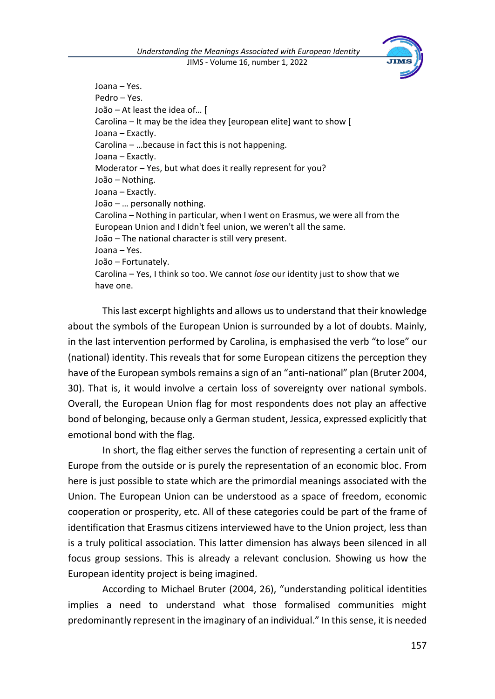

Joana – Yes. Pedro – Yes. João – At least the idea of… [ Carolina – It may be the idea they [european elite] want to show [ Joana – Exactly. Carolina – …because in fact this is not happening. Joana – Exactly. Moderator – Yes, but what does it really represent for you? João – Nothing. Joana – Exactly. João – … personally nothing. Carolina – Nothing in particular, when I went on Erasmus, we were all from the European Union and I didn't feel union, we weren't all the same. João – The national character is still very present. Joana – Yes. João – Fortunately. Carolina – Yes, I think so too. We cannot *lose* our identity just to show that we have one.

This last excerpt highlights and allows us to understand that their knowledge about the symbols of the European Union is surrounded by a lot of doubts. Mainly, in the last intervention performed by Carolina, is emphasised the verb "to lose" our (national) identity. This reveals that for some European citizens the perception they have of the European symbols remains a sign of an "anti-national" plan (Bruter 2004, 30). That is, it would involve a certain loss of sovereignty over national symbols. Overall, the European Union flag for most respondents does not play an affective bond of belonging, because only a German student, Jessica, expressed explicitly that emotional bond with the flag.

In short, the flag either serves the function of representing a certain unit of Europe from the outside or is purely the representation of an economic bloc. From here is just possible to state which are the primordial meanings associated with the Union. The European Union can be understood as a space of freedom, economic cooperation or prosperity, etc. All of these categories could be part of the frame of identification that Erasmus citizens interviewed have to the Union project, less than is a truly political association. This latter dimension has always been silenced in all focus group sessions. This is already a relevant conclusion. Showing us how the European identity project is being imagined.

According to Michael Bruter (2004, 26), "understanding political identities implies a need to understand what those formalised communities might predominantly represent in the imaginary of an individual." In this sense, it is needed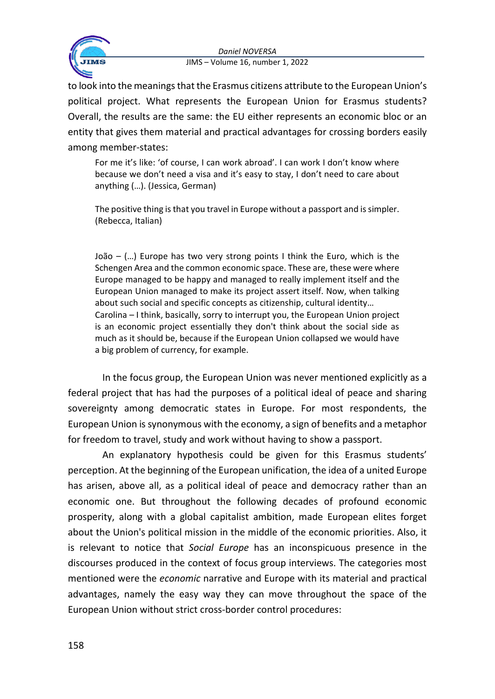

to look into the meanings that the Erasmus citizens attribute to the European Union's political project. What represents the European Union for Erasmus students? Overall, the results are the same: the EU either represents an economic bloc or an entity that gives them material and practical advantages for crossing borders easily among member-states:

For me it's like: 'of course, I can work abroad'. I can work I don't know where because we don't need a visa and it's easy to stay, I don't need to care about anything (…). (Jessica, German)

The positive thing is that you travel in Europe without a passport and is simpler. (Rebecca, Italian)

João – (…) Europe has two very strong points I think the Euro, which is the Schengen Area and the common economic space. These are, these were where Europe managed to be happy and managed to really implement itself and the European Union managed to make its project assert itself. Now, when talking about such social and specific concepts as citizenship, cultural identity… Carolina – I think, basically, sorry to interrupt you, the European Union project is an economic project essentially they don't think about the social side as much as it should be, because if the European Union collapsed we would have a big problem of currency, for example.

In the focus group, the European Union was never mentioned explicitly as a federal project that has had the purposes of a political ideal of peace and sharing sovereignty among democratic states in Europe. For most respondents, the European Union is synonymous with the economy, a sign of benefits and a metaphor for freedom to travel, study and work without having to show a passport.

An explanatory hypothesis could be given for this Erasmus students' perception. At the beginning of the European unification, the idea of a united Europe has arisen, above all, as a political ideal of peace and democracy rather than an economic one. But throughout the following decades of profound economic prosperity, along with a global capitalist ambition, made European elites forget about the Union's political mission in the middle of the economic priorities. Also, it is relevant to notice that *Social Europe* has an inconspicuous presence in the discourses produced in the context of focus group interviews. The categories most mentioned were the *economic* narrative and Europe with its material and practical advantages, namely the easy way they can move throughout the space of the European Union without strict cross-border control procedures: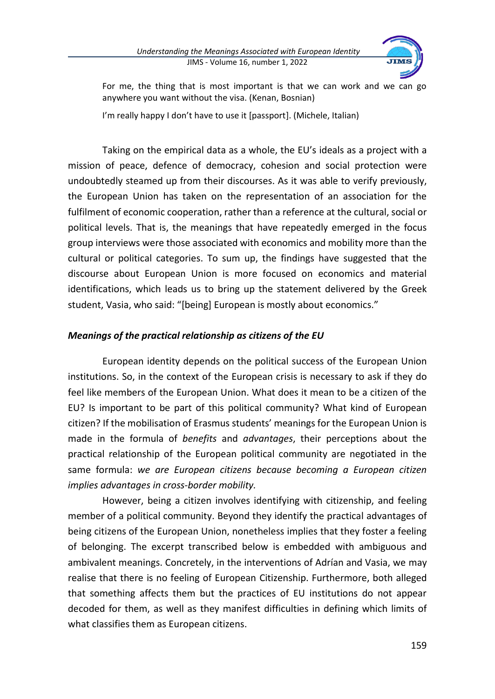

For me, the thing that is most important is that we can work and we can go anywhere you want without the visa. (Kenan, Bosnian)

I'm really happy I don't have to use it [passport]. (Michele, Italian)

Taking on the empirical data as a whole, the EU's ideals as a project with a mission of peace, defence of democracy, cohesion and social protection were undoubtedly steamed up from their discourses. As it was able to verify previously, the European Union has taken on the representation of an association for the fulfilment of economic cooperation, rather than a reference at the cultural, social or political levels. That is, the meanings that have repeatedly emerged in the focus group interviews were those associated with economics and mobility more than the cultural or political categories. To sum up, the findings have suggested that the discourse about European Union is more focused on economics and material identifications, which leads us to bring up the statement delivered by the Greek student, Vasia, who said: "[being] European is mostly about economics."

## *Meanings of the practical relationship as citizens of the EU*

European identity depends on the political success of the European Union institutions. So, in the context of the European crisis is necessary to ask if they do feel like members of the European Union. What does it mean to be a citizen of the EU? Is important to be part of this political community? What kind of European citizen? If the mobilisation of Erasmus students' meanings for the European Union is made in the formula of *benefits* and *advantages*, their perceptions about the practical relationship of the European political community are negotiated in the same formula: *we are European citizens because becoming a European citizen implies advantages in cross-border mobility.* 

However, being a citizen involves identifying with citizenship, and feeling member of a political community. Beyond they identify the practical advantages of being citizens of the European Union, nonetheless implies that they foster a feeling of belonging. The excerpt transcribed below is embedded with ambiguous and ambivalent meanings. Concretely, in the interventions of Adrían and Vasia, we may realise that there is no feeling of European Citizenship. Furthermore, both alleged that something affects them but the practices of EU institutions do not appear decoded for them, as well as they manifest difficulties in defining which limits of what classifies them as European citizens.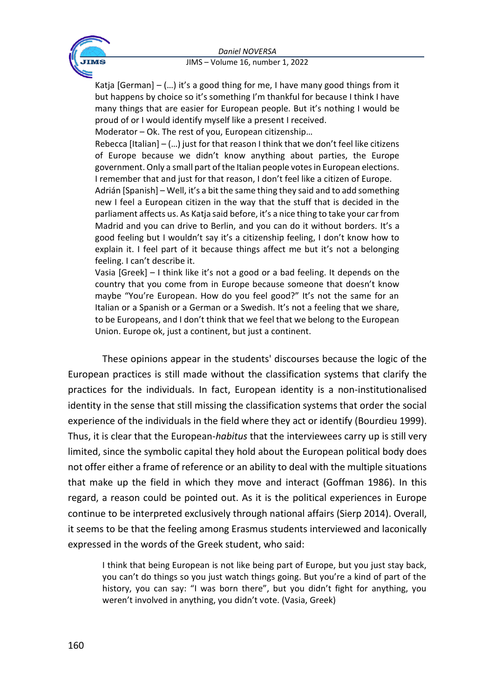

Katja  $[German] - (...)$  it's a good thing for me, I have many good things from it but happens by choice so it's something I'm thankful for because I think I have many things that are easier for European people. But it's nothing I would be proud of or I would identify myself like a present I received.

Moderator – Ok. The rest of you, European citizenship…

Rebecca [Italian] – (…) just for that reason I think that we don't feel like citizens of Europe because we didn't know anything about parties, the Europe government. Only a small part of the Italian people votes in European elections. I remember that and just for that reason, I don't feel like a citizen of Europe.

Adrián [Spanish] – Well, it's a bit the same thing they said and to add something new I feel a European citizen in the way that the stuff that is decided in the parliament affects us. As Katja said before, it's a nice thing to take your car from Madrid and you can drive to Berlin, and you can do it without borders. It's a good feeling but I wouldn't say it's a citizenship feeling, I don't know how to explain it. I feel part of it because things affect me but it's not a belonging feeling. I can't describe it.

Vasia [Greek] – I think like it's not a good or a bad feeling. It depends on the country that you come from in Europe because someone that doesn't know maybe "You're European. How do you feel good?" It's not the same for an Italian or a Spanish or a German or a Swedish. It's not a feeling that we share, to be Europeans, and I don't think that we feel that we belong to the European Union. Europe ok, just a continent, but just a continent.

These opinions appear in the students' discourses because the logic of the European practices is still made without the classification systems that clarify the practices for the individuals. In fact, European identity is a non-institutionalised identity in the sense that still missing the classification systems that order the social experience of the individuals in the field where they act or identify (Bourdieu 1999). Thus, it is clear that the European-*habitus* that the interviewees carry up is still very limited, since the symbolic capital they hold about the European political body does not offer either a frame of reference or an ability to deal with the multiple situations that make up the field in which they move and interact (Goffman 1986). In this regard, a reason could be pointed out. As it is the political experiences in Europe continue to be interpreted exclusively through national affairs (Sierp 2014). Overall, it seems to be that the feeling among Erasmus students interviewed and laconically expressed in the words of the Greek student, who said:

I think that being European is not like being part of Europe, but you just stay back, you can't do things so you just watch things going. But you're a kind of part of the history, you can say: "I was born there", but you didn't fight for anything, you weren't involved in anything, you didn't vote. (Vasia, Greek)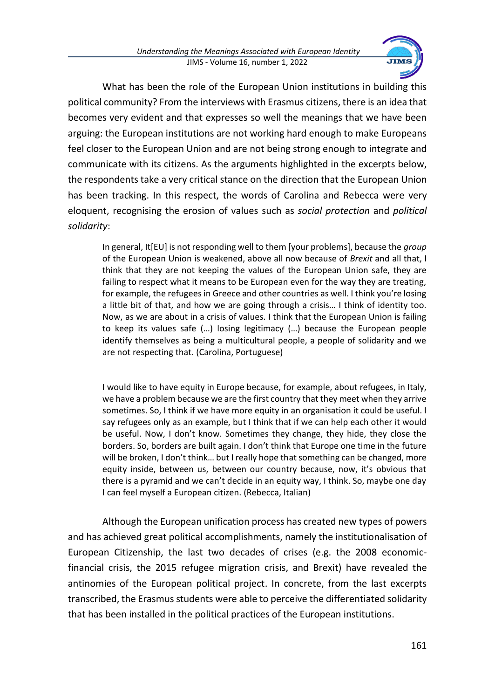

What has been the role of the European Union institutions in building this political community? From the interviews with Erasmus citizens, there is an idea that becomes very evident and that expresses so well the meanings that we have been arguing: the European institutions are not working hard enough to make Europeans feel closer to the European Union and are not being strong enough to integrate and communicate with its citizens. As the arguments highlighted in the excerpts below, the respondents take a very critical stance on the direction that the European Union has been tracking. In this respect, the words of Carolina and Rebecca were very eloquent, recognising the erosion of values such as *social protection* and *political solidarity*:

In general, It[EU] is not responding well to them [your problems], because the *group* of the European Union is weakened, above all now because of *Brexit* and all that, I think that they are not keeping the values of the European Union safe, they are failing to respect what it means to be European even for the way they are treating, for example, the refugees in Greece and other countries as well. I think you're losing a little bit of that, and how we are going through a crisis… I think of identity too. Now, as we are about in a crisis of values. I think that the European Union is failing to keep its values safe (…) losing legitimacy (…) because the European people identify themselves as being a multicultural people, a people of solidarity and we are not respecting that. (Carolina, Portuguese)

I would like to have equity in Europe because, for example, about refugees, in Italy, we have a problem because we are the first country that they meet when they arrive sometimes. So, I think if we have more equity in an organisation it could be useful. I say refugees only as an example, but I think that if we can help each other it would be useful. Now, I don't know. Sometimes they change, they hide, they close the borders. So, borders are built again. I don't think that Europe one time in the future will be broken, I don't think… but I really hope that something can be changed, more equity inside, between us, between our country because, now, it's obvious that there is a pyramid and we can't decide in an equity way, I think. So, maybe one day I can feel myself a European citizen. (Rebecca, Italian)

Although the European unification process has created new types of powers and has achieved great political accomplishments, namely the institutionalisation of European Citizenship, the last two decades of crises (e.g. the 2008 economicfinancial crisis, the 2015 refugee migration crisis, and Brexit) have revealed the antinomies of the European political project. In concrete, from the last excerpts transcribed, the Erasmus students were able to perceive the differentiated solidarity that has been installed in the political practices of the European institutions.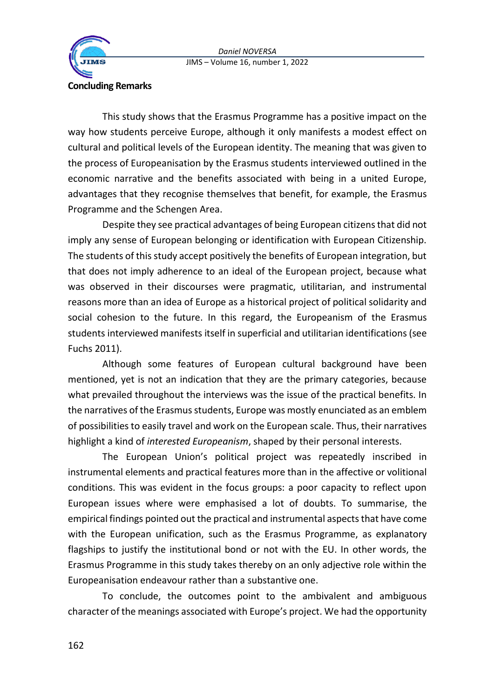

This study shows that the Erasmus Programme has a positive impact on the way how students perceive Europe, although it only manifests a modest effect on cultural and political levels of the European identity. The meaning that was given to the process of Europeanisation by the Erasmus students interviewed outlined in the economic narrative and the benefits associated with being in a united Europe, advantages that they recognise themselves that benefit, for example, the Erasmus Programme and the Schengen Area.

Despite they see practical advantages of being European citizens that did not imply any sense of European belonging or identification with European Citizenship. The students of this study accept positively the benefits of European integration, but that does not imply adherence to an ideal of the European project, because what was observed in their discourses were pragmatic, utilitarian, and instrumental reasons more than an idea of Europe as a historical project of political solidarity and social cohesion to the future. In this regard, the Europeanism of the Erasmus students interviewed manifests itself in superficial and utilitarian identifications (see Fuchs 2011).

Although some features of European cultural background have been mentioned, yet is not an indication that they are the primary categories, because what prevailed throughout the interviews was the issue of the practical benefits. In the narratives of the Erasmus students, Europe was mostly enunciated as an emblem of possibilitiesto easily travel and work on the European scale. Thus, their narratives highlight a kind of *interested Europeanism*, shaped by their personal interests.

The European Union's political project was repeatedly inscribed in instrumental elements and practical features more than in the affective or volitional conditions. This was evident in the focus groups: a poor capacity to reflect upon European issues where were emphasised a lot of doubts. To summarise, the empirical findings pointed out the practical and instrumental aspects that have come with the European unification, such as the Erasmus Programme, as explanatory flagships to justify the institutional bond or not with the EU. In other words, the Erasmus Programme in this study takes thereby on an only adjective role within the Europeanisation endeavour rather than a substantive one.

To conclude, the outcomes point to the ambivalent and ambiguous character of the meanings associated with Europe's project. We had the opportunity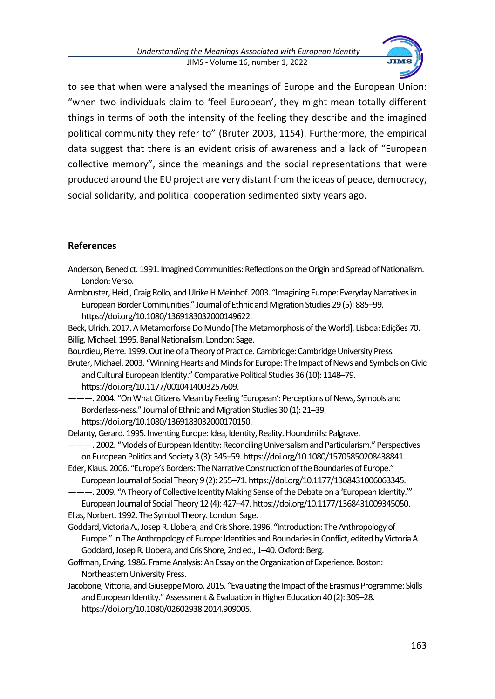

to see that when were analysed the meanings of Europe and the European Union: "when two individuals claim to 'feel European', they might mean totally different things in terms of both the intensity of the feeling they describe and the imagined political community they refer to" (Bruter 2003, 1154). Furthermore, the empirical data suggest that there is an evident crisis of awareness and a lack of "European collective memory", since the meanings and the social representations that were produced around the EU project are very distant from the ideas of peace, democracy, social solidarity, and political cooperation sedimented sixty years ago.

## **References**

- Anderson, Benedict. 1991. Imagined Communities: Reflections on the Origin and Spread of Nationalism. London: Verso.
- Armbruster, Heidi, Craig Rollo, and Ulrike H Meinhof. 2003. "Imagining Europe: Everyday Narratives in European Border Communities." Journal of Ethnic and Migration Studies 29 (5): 885–99. https://doi.org/10.1080/1369183032000149622.

Beck, Ulrich. 2017. A Metamorforse Do Mundo [The Metamorphosis of the World]. Lisboa: Edições 70. Billig, Michael. 1995. Banal Nationalism. London: Sage.

- Bourdieu, Pierre. 1999. Outline of a Theory of Practice. Cambridge: Cambridge University Press.
- Bruter, Michael. 2003. "Winning Hearts and Minds for Europe: The Impact of News and Symbols on Civic and Cultural European Identity." Comparative Political Studies 36 (10): 1148–79.

https://doi.org/10.1177/0010414003257609.

———. 2004. "On What Citizens Mean by Feeling 'European': Perceptions of News, Symbols and Borderless‐ness." Journal of Ethnic and Migration Studies 30 (1): 21–39. https://doi.org/10.1080/1369183032000170150.

Delanty, Gerard. 1995. Inventing Europe: Idea, Identity, Reality. Houndmills: Palgrave.

- ———. 2002. "Models of European Identity: Reconciling Universalism and Particularism." Perspectives on European Politics and Society 3 (3): 345–59. https://doi.org/10.1080/15705850208438841.
- Eder, Klaus. 2006. "Europe's Borders: The Narrative Construction of the Boundaries of Europe." European Journal of Social Theory 9 (2): 255–71. https://doi.org/10.1177/1368431006063345.

———. 2009. "A Theory of Collective Identity Making Sense of the Debate on a 'European Identity.'" European Journalof Social Theory 12 (4): 427–47. https://doi.org/10.1177/1368431009345050.

Elias, Norbert. 1992. The Symbol Theory. London: Sage.

- Goddard, Victoria A., Josep R. Llobera, and Cris Shore. 1996. "Introduction: The Anthropology of Europe." In The Anthropology of Europe: Identities and Boundaries in Conflict, edited by Victoria A. Goddard, Josep R. Llobera, and Cris Shore, 2nd ed., 1–40. Oxford: Berg.
- Goffman, Erving. 1986. Frame Analysis: An Essay on the Organization of Experience. Boston: Northeastern University Press.
- Jacobone, Vittoria, and Giuseppe Moro. 2015. "Evaluating the Impact of the Erasmus Programme: Skills and European Identity." Assessment & Evaluation in Higher Education 40 (2): 309–28. https://doi.org/10.1080/02602938.2014.909005.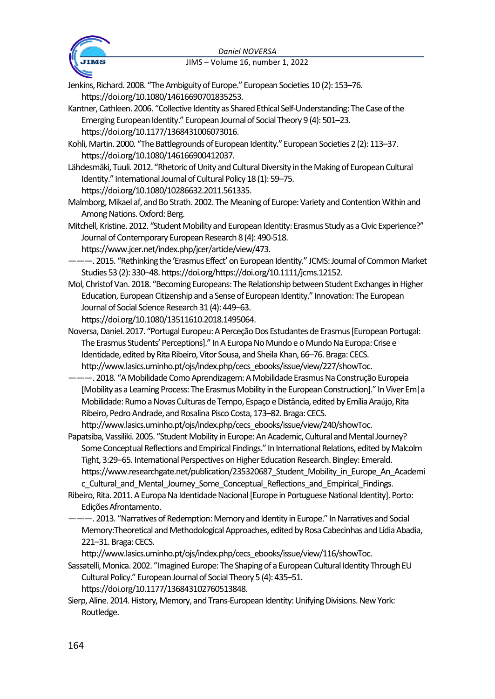

Jenkins, Richard. 2008. "The Ambiguity of Europe." European Societies 10 (2): 153–76. https://doi.org/10.1080/14616690701835253.

- Kantner, Cathleen. 2006. "Collective Identity as Shared Ethical Self-Understanding: The Case of the Emerging European Identity." European Journal of Social Theory 9 (4): 501–23. https://doi.org/10.1177/1368431006073016.
- Kohli, Martin. 2000. "The Battlegrounds of European Identity." European Societies 2 (2): 113–37. https://doi.org/10.1080/146166900412037.
- Lähdesmäki, Tuuli. 2012. "Rhetoric of Unity and Cultural Diversity in the Making of European Cultural Identity." International Journal of Cultural Policy 18 (1): 59–75. https://doi.org/10.1080/10286632.2011.561335.
- Malmborg, Mikael af, and Bo Strath. 2002. The Meaning of Europe: Variety and Contention Within and Among Nations. Oxford: Berg.
- Mitchell, Kristine. 2012. "Student Mobility and European Identity: Erasmus Study as a Civic Experience?" Journal of Contemporary European Research 8 (4): 490‐518.

https://www.jcer.net/index.php/jcer/article/view/473.

- ———. 2015. "Rethinking the 'Erasmus Effect' on European Identity." JCMS: Journal of Common Market Studies 53 (2): 330–48. https://doi.org/https://doi.org/10.1111/jcms.12152.
- Mol, Christof Van. 2018. "Becoming Europeans: The Relationship between Student Exchanges in Higher Education, European Citizenship and a Sense of European Identity." Innovation: The European Journal of Social Science Research 31 (4): 449–63.

https://doi.org/10.1080/13511610.2018.1495064.

- Noversa, Daniel. 2017. "Portugal Europeu: A Perceção Dos Estudantes de Erasmus [European Portugal: The Erasmus Students' Perceptions]." In A Europa No Mundo e o Mundo Na Europa: Crise e Identidade, edited by Rita Ribeiro, Vítor Sousa, and Sheila Khan, 66–76. Braga: CECS. http://www.lasics.uminho.pt/ojs/index.php/cecs\_ebooks/issue/view/227/showToc.
- ———. 2018. "A Mobilidade Como Aprendizagem: A Mobilidade Erasmus Na Construção Europeia [Mobility as a Learning Process: The Erasmus Mobility in the European Construction]." In Viver Em|a Mobilidade: Rumo a Novas Culturas de Tempo, Espaço e Distância, edited by Emília Araújo, Rita Ribeiro, Pedro Andrade, and Rosalina Pisco Costa, 173–82. Braga: CECS.

http://www.lasics.uminho.pt/ojs/index.php/cecs\_ebooks/issue/view/240/showToc.

- Papatsiba, Vassiliki. 2005. "Student Mobility in Europe: An Academic, Cultural and Mental Journey? Some Conceptual Reflections and Empirical Findings." In International Relations, edited by Malcolm Tight, 3:29–65. International Perspectives on Higher Education Research. Bingley: Emerald. https://www.researchgate.net/publication/235320687 Student\_Mobility\_in\_Europe\_An\_Academi c\_Cultural\_and\_Mental\_Journey\_Some\_Conceptual\_Reflections\_and\_Empirical\_Findings.
- Ribeiro, Rita. 2011. A Europa Na Identidade Nacional [Europe in Portuguese National Identity]. Porto: Edições Afrontamento.
- ———. 2013. "Narratives of Redemption: Memory and Identity in Europe." In Narratives and Social Memory:Theoretical and Methodological Approaches, edited by Rosa Cabecinhas and Lídia Abadia, 221–31. Braga: CECS.
	- http://www.lasics.uminho.pt/ojs/index.php/cecs\_ebooks/issue/view/116/showToc.
- Sassatelli, Monica. 2002. "Imagined Europe: The Shaping of a European Cultural Identity Through EU Cultural Policy." European Journal of Social Theory 5 (4): 435–51.
	- https://doi.org/10.1177/136843102760513848.
- Sierp, Aline. 2014. History, Memory, and Trans-European Identity: Unifying Divisions. New York: Routledge.